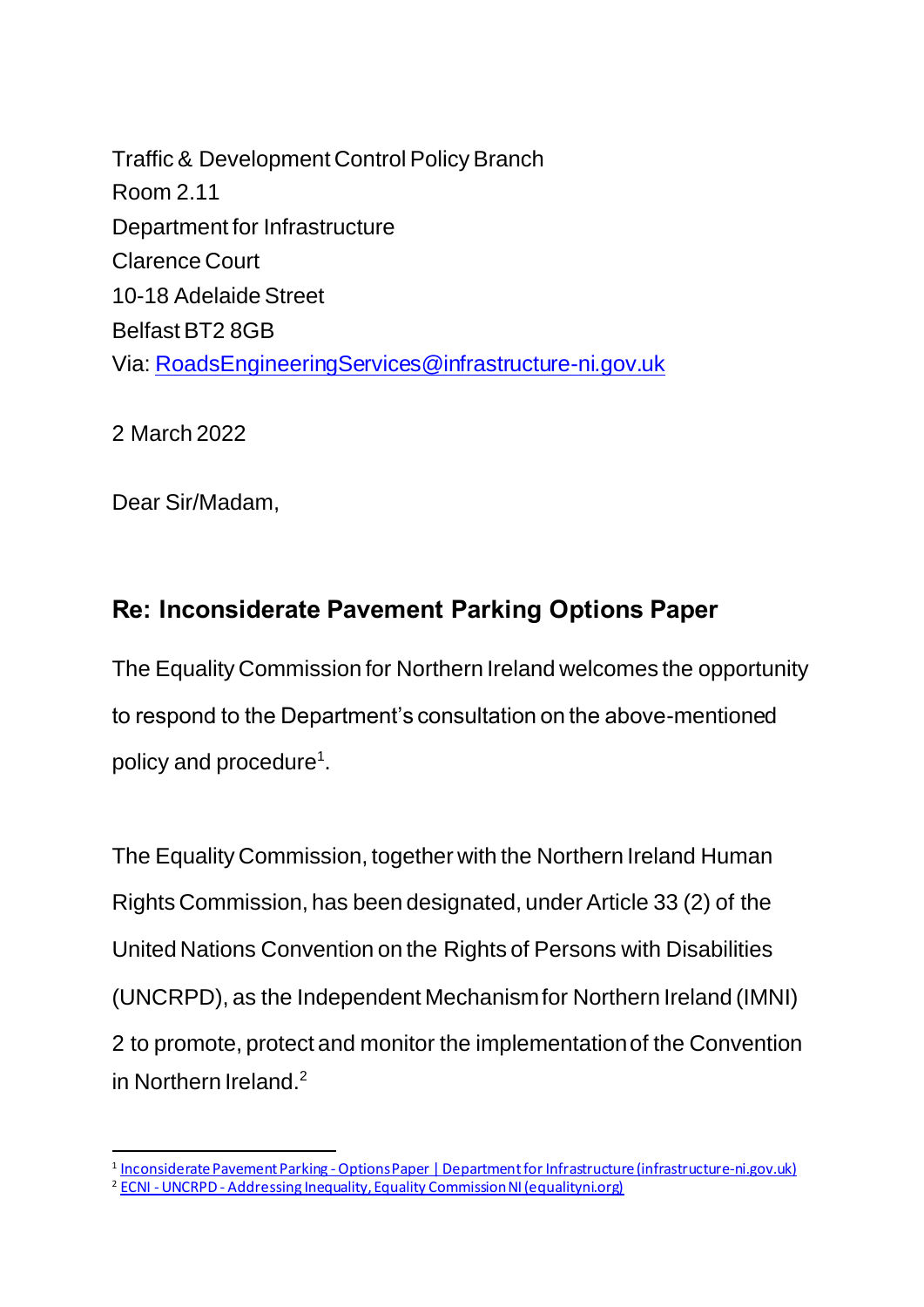Traffic & Development Control Policy Branch Room 2.11 Department for Infrastructure Clarence Court 10-18 Adelaide Street Belfast BT2 8GB Via: [RoadsEngineeringServices@infrastructure-ni.gov.uk](mailto:RoadsEngineeringServices@infrastructure-ni.gov.uk)

2 March 2022

Dear Sir/Madam,

## **Re: Inconsiderate Pavement Parking Options Paper**

The Equality Commission for Northern Ireland welcomes the opportunity to respond to the Department's consultation on the above-mentioned policy and procedure<sup>1</sup>.

The Equality Commission, together with the Northern Ireland Human Rights Commission, has been designated, under Article 33 (2) of the United Nations Convention on the Rights of Persons with Disabilities (UNCRPD), as the Independent Mechanism for Northern Ireland (IMNI) 2 to promote, protect and monitor the implementation of the Convention in Northern Ireland.<sup>2</sup>

<sup>&</sup>lt;u>1 Inconsiderate Pavement Parking - Options Paper | Department for Infrastructure (infrastructure-ni.gov.uk)</u> <sup>2</sup> ECNI - UNCRPD - [Addressing Inequality, Equality Commission NI \(equalityni.org\)](https://www.equalityni.org/uncrpd)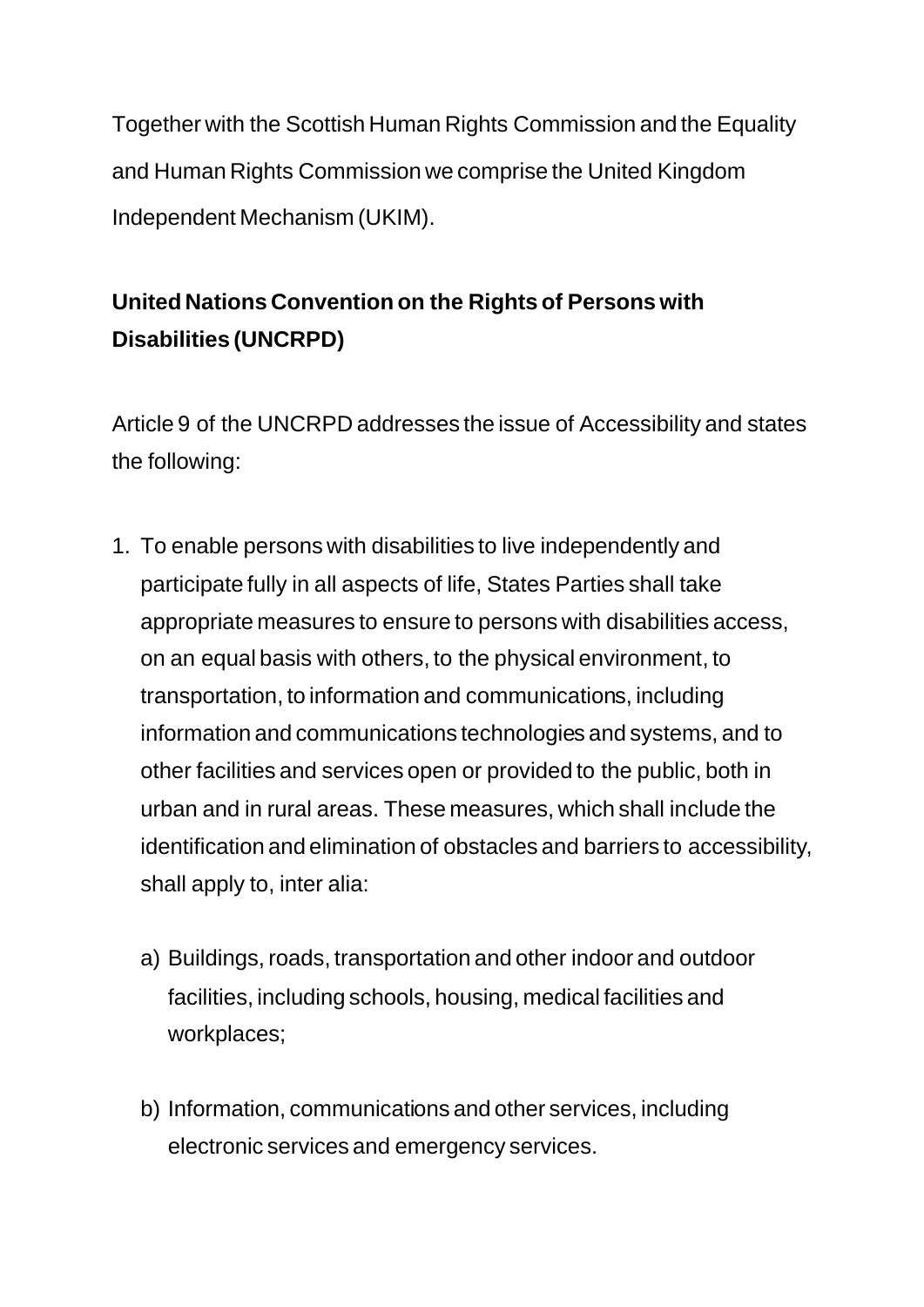Together with the Scottish Human Rights Commission and the Equality and Human Rights Commission we comprise the United Kingdom Independent Mechanism (UKIM).

## **United Nations Convention on the Rights of Persons with Disabilities (UNCRPD)**

Article 9 of the UNCRPD addresses the issue of Accessibility and states the following:

- 1. To enable persons with disabilities to live independently and participate fully in all aspects of life, States Parties shall take appropriate measures to ensure to persons with disabilities access, on an equal basis with others, to the physical environment, to transportation, to information and communications, including information and communications technologies and systems, and to other facilities and services open or provided to the public, both in urban and in rural areas. These measures, which shall include the identification and elimination of obstacles and barriers to accessibility, shall apply to, inter alia:
	- a) Buildings, roads, transportation and other indoor and outdoor facilities, including schools, housing, medical facilities and workplaces;
	- b) Information, communications and other services, including electronic services and emergency services.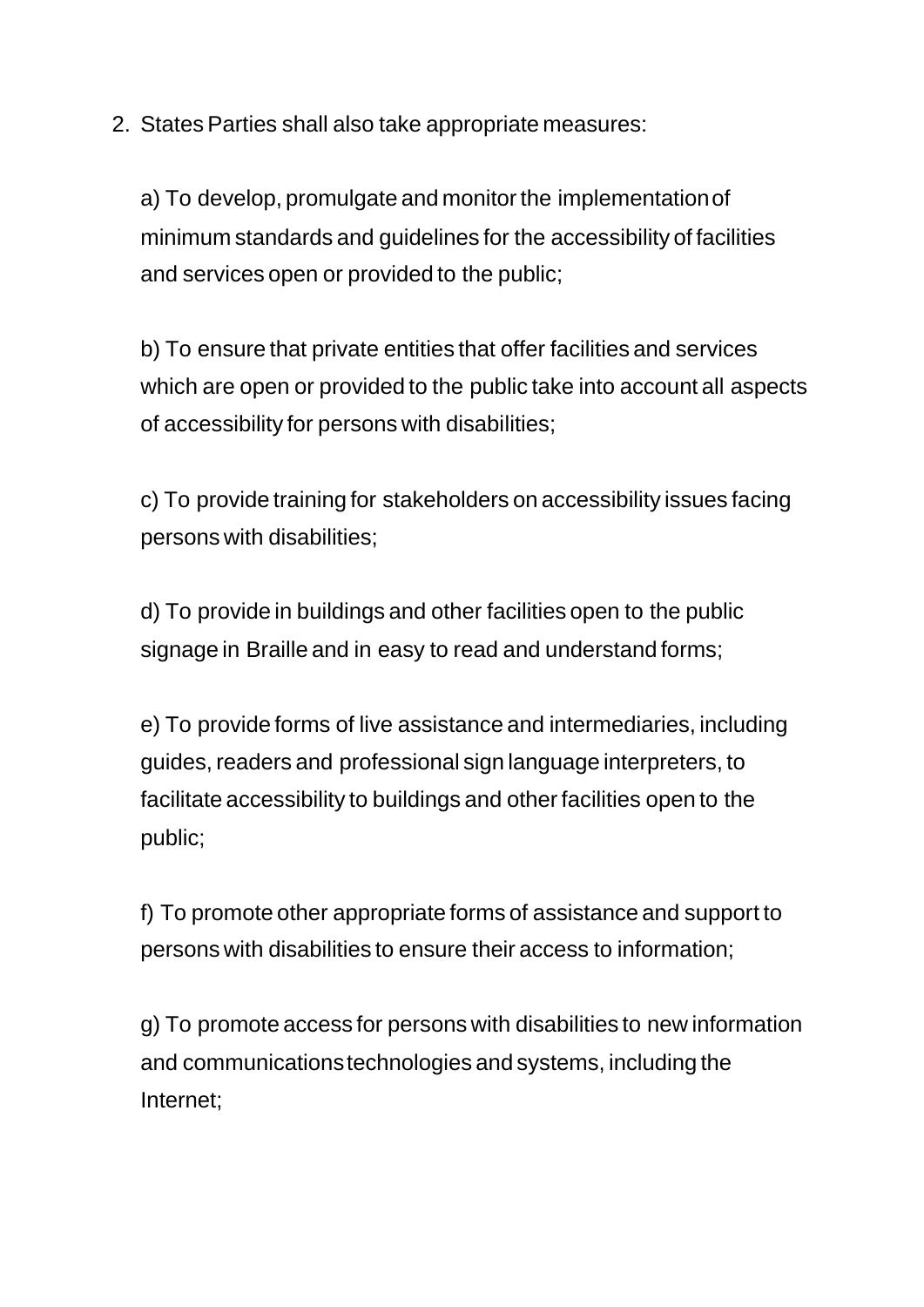2. States Parties shall also take appropriate measures:

a) To develop, promulgate and monitor the implementation of minimum standards and guidelines for the accessibility of facilities and services open or provided to the public;

b) To ensure that private entities that offer facilities and services which are open or provided to the public take into account all aspects of accessibility for persons with disabilities;

c) To provide training for stakeholders on accessibility issues facing persons with disabilities;

d) To provide in buildings and other facilities open to the public signage in Braille and in easy to read and understand forms;

e) To provide forms of live assistance and intermediaries, including guides, readers and professional sign language interpreters, to facilitate accessibility to buildings and other facilities open to the public;

f) To promote other appropriate forms of assistance and support to persons with disabilities to ensure their access to information;

g) To promote access for persons with disabilities to new information and communications technologies and systems, including the Internet;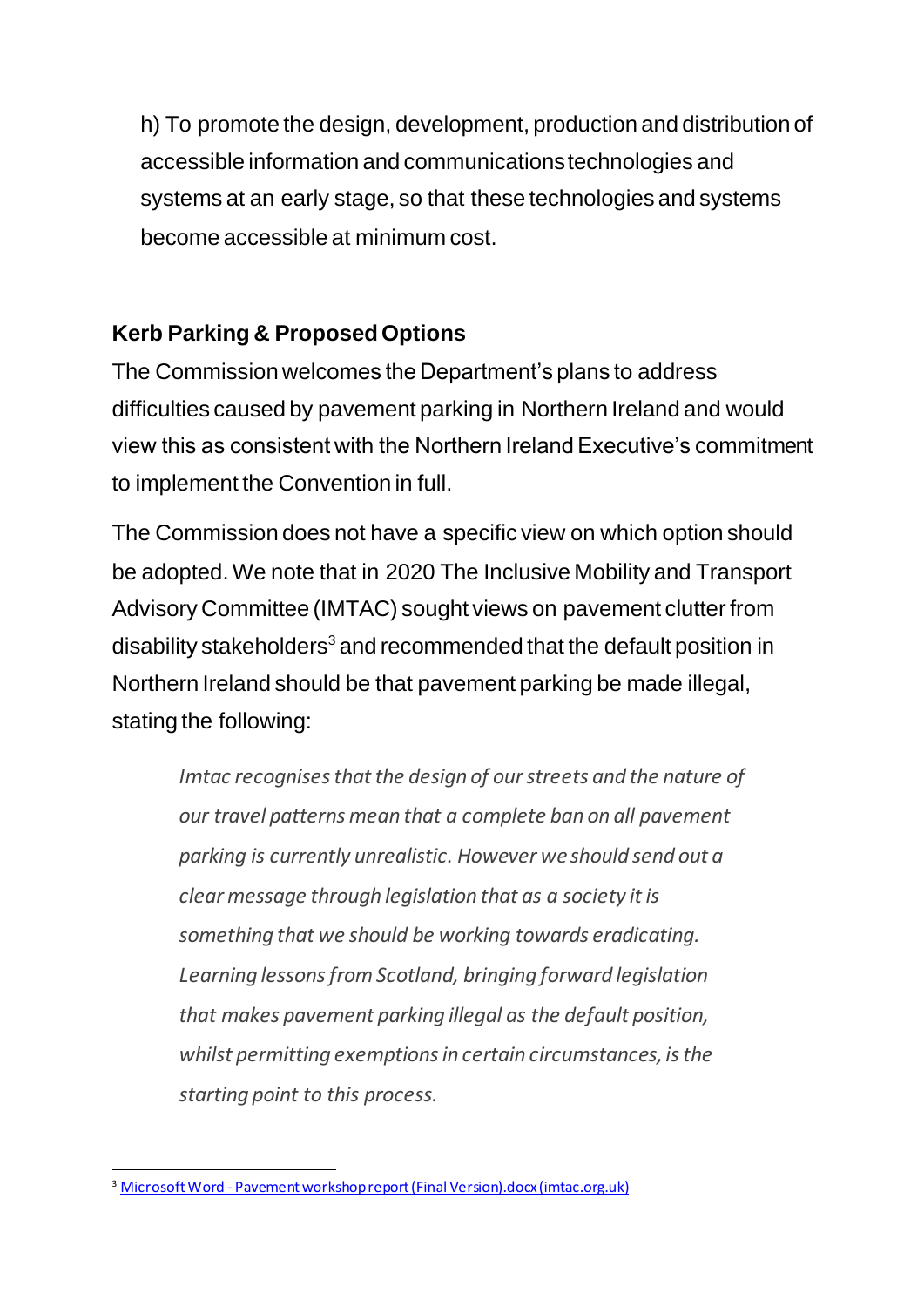h) To promote the design, development, production and distribution of accessible information and communications technologies and systems at an early stage, so that these technologies and systems become accessible at minimum cost.

## **Kerb Parking & Proposed Options**

The Commission welcomes the Department's plans to address difficulties caused by pavement parking in Northern Ireland and would view this as consistent with the Northern Ireland Executive's commitment to implement the Convention in full.

The Commission does not have a specific view on which option should be adopted. We note that in 2020 The Inclusive Mobility and Transport Advisory Committee (IMTAC) sought views on pavement clutter from disability stakeholders<sup>3</sup> and recommended that the default position in Northern Ireland should be that pavement parking be made illegal, stating the following:

*Imtac recognises that the design of our streets and the nature of our travel patterns mean that a complete ban on all pavement parking is currently unrealistic. However we should send out a clear message through legislation that as a society it is something that we should be working towards eradicating. Learning lessons from Scotland, bringing forward legislation that makes pavement parking illegal as the default position, whilst permitting exemptions in certain circumstances, is the starting point to this process.* 

<sup>&</sup>lt;sup>3</sup> Microsoft Word - [Pavement workshop report \(Final Version\).docx \(imtac.org.uk\)](https://www.imtac.org.uk/sites/imtac/files/media-files/Pavement%20workshop%20report%20%28Final%20Version%29.pdf)